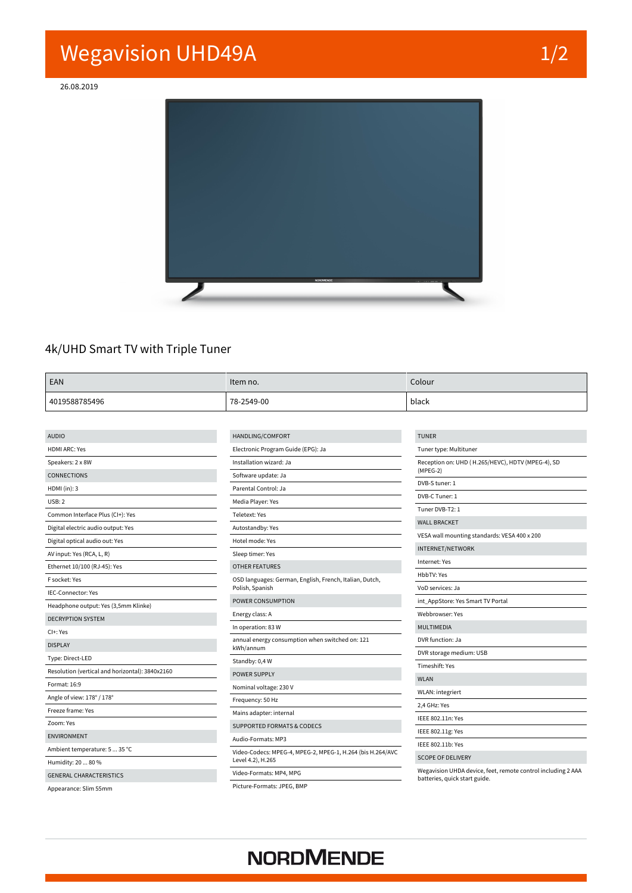## **Wegavision UHD49A 1/2**

**26.08.2019**



#### 4k/UHD Smart TV with Triple Tuner

| EAN           | Item no.   | Colour |
|---------------|------------|--------|
| 4019588785496 | 78-2549-00 | black  |

| <b>AUDIO</b>                                    | HANDLING/COMFORT                                                                | <b>TUNER</b>                                                                                  |
|-------------------------------------------------|---------------------------------------------------------------------------------|-----------------------------------------------------------------------------------------------|
| <b>HDMI ARC: Yes</b>                            | Electronic Program Guide (EPG): Ja                                              | Tuner type: Multituner                                                                        |
| Speakers: 2 x 8W                                | Installation wizard: Ja                                                         | Reception on: UHD (H.265/HEVC), HDTV (MPEG-4), SD                                             |
| <b>CONNECTIONS</b>                              | Software update: Ja                                                             | $(MPEG-2)$                                                                                    |
| $HDMI$ (in): 3                                  | Parental Control: Ja                                                            | DVB-S tuner: 1                                                                                |
| USB:2                                           | Media Player: Yes                                                               | DVB-C Tuner: 1                                                                                |
| Common Interface Plus (CI+): Yes                | Teletext: Yes                                                                   | Tuner DVB-T2: 1                                                                               |
| Digital electric audio output: Yes              | Autostandby: Yes                                                                | <b>WALL BRACKET</b>                                                                           |
| Digital optical audio out: Yes                  | Hotel mode: Yes                                                                 | VESA wall mounting standards: VESA 400 x 200                                                  |
| AV input: Yes (RCA, L, R)                       | Sleep timer: Yes                                                                | <b>INTERNET/NETWORK</b>                                                                       |
| Ethernet 10/100 (RJ-45): Yes                    | <b>OTHER FEATURES</b>                                                           | Internet: Yes                                                                                 |
| F socket: Yes                                   | OSD languages: German, English, French, Italian, Dutch,                         | HbbTV: Yes                                                                                    |
| IEC-Connector: Yes                              | Polish, Spanish                                                                 | VoD services: Ja                                                                              |
| Headphone output: Yes (3,5mm Klinke)            | POWER CONSUMPTION                                                               | int_AppStore: Yes Smart TV Portal                                                             |
| <b>DECRYPTION SYSTEM</b>                        | Energy class: A                                                                 | Webbrowser: Yes                                                                               |
| CI+: Yes                                        | In operation: 83 W                                                              | MULTIMEDIA                                                                                    |
| <b>DISPLAY</b>                                  | annual energy consumption when switched on: 121<br>kWh/annum                    | DVR function: Ja                                                                              |
|                                                 |                                                                                 | DVR storage medium: USB                                                                       |
| Type: Direct-LED                                | Standby: 0,4 W                                                                  | Timeshift: Yes                                                                                |
| Resolution (vertical and horizontal): 3840x2160 | POWER SUPPLY                                                                    | <b>WLAN</b>                                                                                   |
| Format: 16:9                                    | Nominal voltage: 230 V                                                          | WLAN: integriert                                                                              |
| Angle of view: 178° / 178°                      | Frequency: 50 Hz                                                                | 2.4 GHz: Yes                                                                                  |
| Freeze frame: Yes                               | Mains adapter: internal                                                         | IEEE 802.11n: Yes                                                                             |
| Zoom: Yes                                       | <b>SUPPORTED FORMATS &amp; CODECS</b>                                           | IEEE 802.11g: Yes                                                                             |
| <b>ENVIRONMENT</b>                              | Audio-Formats: MP3                                                              | IEEE 802.11b: Yes                                                                             |
| Ambient temperature: 5  35 °C                   | Video-Codecs: MPEG-4, MPEG-2, MPEG-1, H.264 (bis H.264/AVC<br>Level 4.2), H.265 |                                                                                               |
| Humidity: 20  80 %                              |                                                                                 | <b>SCOPE OF DELIVERY</b>                                                                      |
| <b>GENERAL CHARACTERISTICS</b>                  | Video-Formats: MP4, MPG                                                         | Wegavision UHDA device, feet, remote control including 2 AAA<br>batteries, quick start guide. |
| Appearance: Slim 55mm                           | Picture-Formats: JPEG, BMP                                                      |                                                                                               |

## **NORDMENDE**